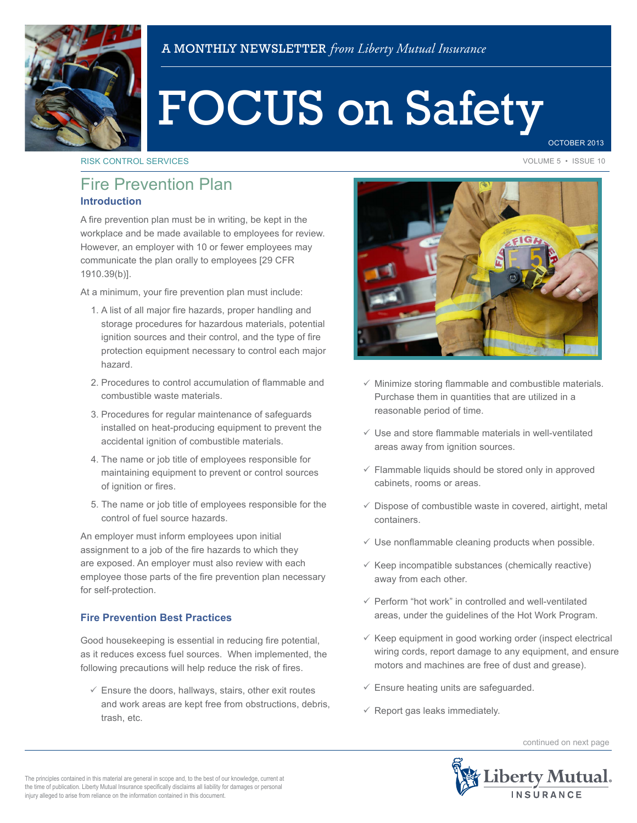

# FOCUS on Safety

OCTOBER 2013

RISK CONTROL SERVICES **VOLUME 5 • ISSUE 10** 

# **Introduction** Fire Prevention Plan

A fire prevention plan must be in writing, be kept in the workplace and be made available to employees for review. However, an employer with 10 or fewer employees may communicate the plan orally to employees [29 CFR 1910.39(b)].

At a minimum, your fire prevention plan must include:

- 1. A list of all major fire hazards, proper handling and storage procedures for hazardous materials, potential ignition sources and their control, and the type of fire protection equipment necessary to control each major hazard.
- 2. Procedures to control accumulation of flammable and combustible waste materials.
- 3. Procedures for regular maintenance of safeguards installed on heat-producing equipment to prevent the accidental ignition of combustible materials.
- 4. The name or job title of employees responsible for maintaining equipment to prevent or control sources of ignition or fires.
- 5. The name or job title of employees responsible for the control of fuel source hazards.

An employer must inform employees upon initial assignment to a job of the fire hazards to which they are exposed. An employer must also review with each employee those parts of the fire prevention plan necessary for self-protection.

## **Fire Prevention Best Practices**

Good housekeeping is essential in reducing fire potential, as it reduces excess fuel sources. When implemented, the following precautions will help reduce the risk of fires.

 $\checkmark$  Ensure the doors, hallways, stairs, other exit routes and work areas are kept free from obstructions, debris, trash, etc.



- $\checkmark$  Minimize storing flammable and combustible materials. Purchase them in quantities that are utilized in a reasonable period of time.
- $\checkmark$  Use and store flammable materials in well-ventilated areas away from ignition sources.
- $\checkmark$  Flammable liquids should be stored only in approved cabinets, rooms or areas.
- $\checkmark$  Dispose of combustible waste in covered, airtight, metal containers.
- $\checkmark$  Use nonflammable cleaning products when possible.
- $\checkmark$  Keep incompatible substances (chemically reactive) away from each other.
- $\sqrt{ }$  Perform "hot work" in controlled and well-ventilated areas, under the guidelines of the Hot Work Program.
- $\checkmark$  Keep equipment in good working order (inspect electrical wiring cords, report damage to any equipment, and ensure motors and machines are free of dust and grease).
- $\checkmark$  Ensure heating units are safeguarded.
- $\checkmark$  Report gas leaks immediately.

continued on next page



The principles contained in this material are general in scope and, to the best of our knowledge, current at the time of publication. Liberty Mutual Insurance specifically disclaims all liability for damages or personal injury alleged to arise from reliance on the information contained in this document.